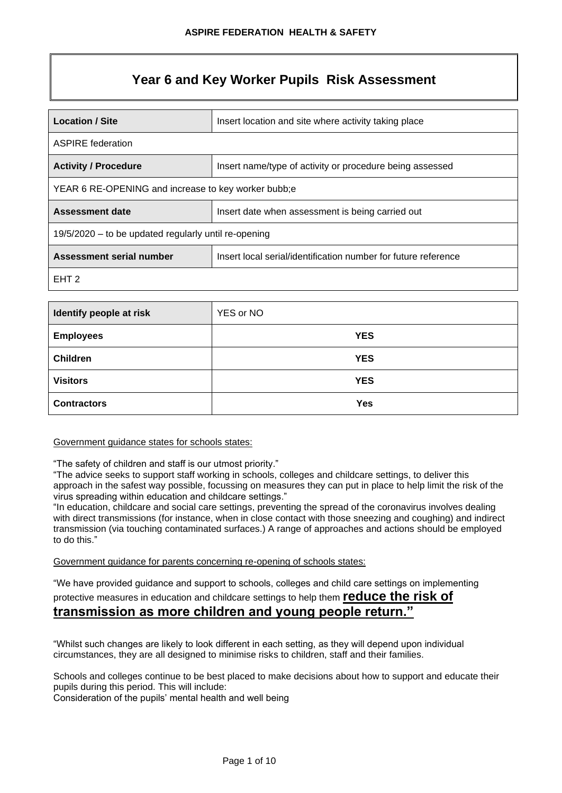# **Year 6 and Key Worker Pupils Risk Assessment**

| <b>Location / Site</b><br>Insert location and site where activity taking place             |  |  |  |  |
|--------------------------------------------------------------------------------------------|--|--|--|--|
| <b>ASPIRE</b> federation                                                                   |  |  |  |  |
| <b>Activity / Procedure</b><br>Insert name/type of activity or procedure being assessed    |  |  |  |  |
| YEAR 6 RE-OPENING and increase to key worker bubb;e                                        |  |  |  |  |
| <b>Assessment date</b><br>Insert date when assessment is being carried out                 |  |  |  |  |
| 19/5/2020 – to be updated regularly until re-opening                                       |  |  |  |  |
| Assessment serial number<br>Insert local serial/identification number for future reference |  |  |  |  |
| EHT 2                                                                                      |  |  |  |  |

| Identify people at risk | YES or NO  |
|-------------------------|------------|
| <b>Employees</b>        | <b>YES</b> |
| <b>Children</b>         | <b>YES</b> |
| <b>Visitors</b>         | <b>YES</b> |
| <b>Contractors</b>      | <b>Yes</b> |

#### Government guidance states for schools states:

"The safety of children and staff is our utmost priority."

"The advice seeks to support staff working in schools, colleges and childcare settings, to deliver this approach in the safest way possible, focussing on measures they can put in place to help limit the risk of the virus spreading within education and childcare settings."

"In education, childcare and social care settings, preventing the spread of the coronavirus involves dealing with direct transmissions (for instance, when in close contact with those sneezing and coughing) and indirect transmission (via touching contaminated surfaces.) A range of approaches and actions should be employed to do this."

Government guidance for parents concerning re-opening of schools states:

"We have provided guidance and support to schools, colleges and child care settings on implementing

## protective measures in education and childcare settings to help them **reduce the risk of transmission as more children and young people return."**

"Whilst such changes are likely to look different in each setting, as they will depend upon individual circumstances, they are all designed to minimise risks to children, staff and their families.

Schools and colleges continue to be best placed to make decisions about how to support and educate their pupils during this period. This will include:

Consideration of the pupils' mental health and well being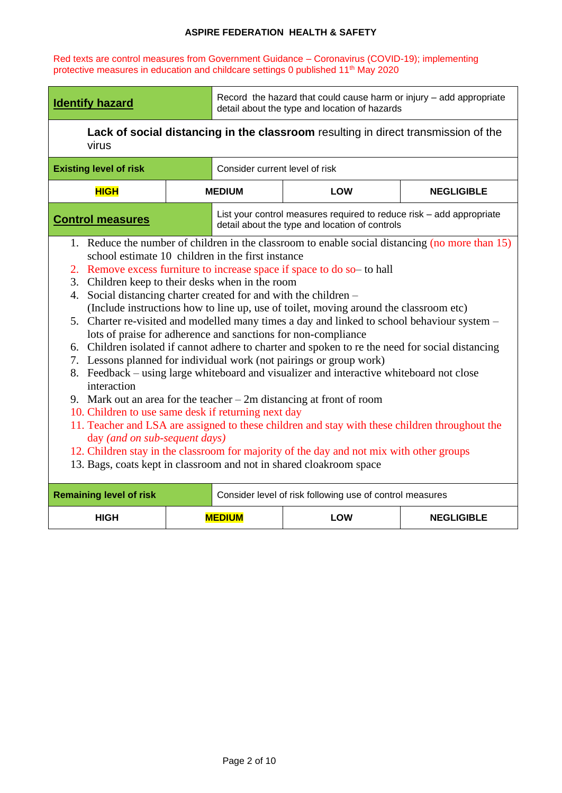Red texts are control measures from Government Guidance – Coronavirus (COVID-19); implementing protective measures in education and childcare settings 0 published 11<sup>th</sup> May 2020

| <b>Identify hazard</b>                                                                                                                                                                                                                                                                                                                                                                                                                                                                                                                                                                                                                                                                                                                                                                                                                                                                                                                                                                                                                                                                                                                                                                                                                                                                                                                         |  | Record the hazard that could cause harm or injury - add appropriate<br>detail about the type and location of hazards |                                                                                                                        |                   |  |  |  |
|------------------------------------------------------------------------------------------------------------------------------------------------------------------------------------------------------------------------------------------------------------------------------------------------------------------------------------------------------------------------------------------------------------------------------------------------------------------------------------------------------------------------------------------------------------------------------------------------------------------------------------------------------------------------------------------------------------------------------------------------------------------------------------------------------------------------------------------------------------------------------------------------------------------------------------------------------------------------------------------------------------------------------------------------------------------------------------------------------------------------------------------------------------------------------------------------------------------------------------------------------------------------------------------------------------------------------------------------|--|----------------------------------------------------------------------------------------------------------------------|------------------------------------------------------------------------------------------------------------------------|-------------------|--|--|--|
| Lack of social distancing in the classroom resulting in direct transmission of the<br>virus                                                                                                                                                                                                                                                                                                                                                                                                                                                                                                                                                                                                                                                                                                                                                                                                                                                                                                                                                                                                                                                                                                                                                                                                                                                    |  |                                                                                                                      |                                                                                                                        |                   |  |  |  |
| <b>Existing level of risk</b>                                                                                                                                                                                                                                                                                                                                                                                                                                                                                                                                                                                                                                                                                                                                                                                                                                                                                                                                                                                                                                                                                                                                                                                                                                                                                                                  |  | Consider current level of risk                                                                                       |                                                                                                                        |                   |  |  |  |
| <b>HIGH</b>                                                                                                                                                                                                                                                                                                                                                                                                                                                                                                                                                                                                                                                                                                                                                                                                                                                                                                                                                                                                                                                                                                                                                                                                                                                                                                                                    |  | <b>MEDIUM</b>                                                                                                        | <b>LOW</b>                                                                                                             | <b>NEGLIGIBLE</b> |  |  |  |
| <b>Control measures</b>                                                                                                                                                                                                                                                                                                                                                                                                                                                                                                                                                                                                                                                                                                                                                                                                                                                                                                                                                                                                                                                                                                                                                                                                                                                                                                                        |  |                                                                                                                      | List your control measures required to reduce risk - add appropriate<br>detail about the type and location of controls |                   |  |  |  |
| 1. Reduce the number of children in the classroom to enable social distancing (no more than 15)<br>school estimate 10 children in the first instance<br>2. Remove excess furniture to increase space if space to do so to hall<br>3. Children keep to their desks when in the room<br>Social distancing charter created for and with the children –<br>4.<br>(Include instructions how to line up, use of toilet, moving around the classroom etc)<br>5. Charter re-visited and modelled many times a day and linked to school behaviour system –<br>lots of praise for adherence and sanctions for non-compliance<br>6. Children isolated if cannot adhere to charter and spoken to re the need for social distancing<br>7. Lessons planned for individual work (not pairings or group work)<br>8. Feedback – using large whiteboard and visualizer and interactive whiteboard not close<br>interaction<br>9. Mark out an area for the teacher $-2m$ distancing at front of room<br>10. Children to use same desk if returning next day<br>11. Teacher and LSA are assigned to these children and stay with these children throughout the<br>day (and on sub-sequent days)<br>12. Children stay in the classroom for majority of the day and not mix with other groups<br>13. Bags, coats kept in classroom and not in shared cloakroom space |  |                                                                                                                      |                                                                                                                        |                   |  |  |  |
| <b>Remaining level of risk</b>                                                                                                                                                                                                                                                                                                                                                                                                                                                                                                                                                                                                                                                                                                                                                                                                                                                                                                                                                                                                                                                                                                                                                                                                                                                                                                                 |  |                                                                                                                      | Consider level of risk following use of control measures                                                               |                   |  |  |  |
| <b>HIGH</b>                                                                                                                                                                                                                                                                                                                                                                                                                                                                                                                                                                                                                                                                                                                                                                                                                                                                                                                                                                                                                                                                                                                                                                                                                                                                                                                                    |  | <b>MEDIUM</b>                                                                                                        | <b>LOW</b>                                                                                                             | <b>NEGLIGIBLE</b> |  |  |  |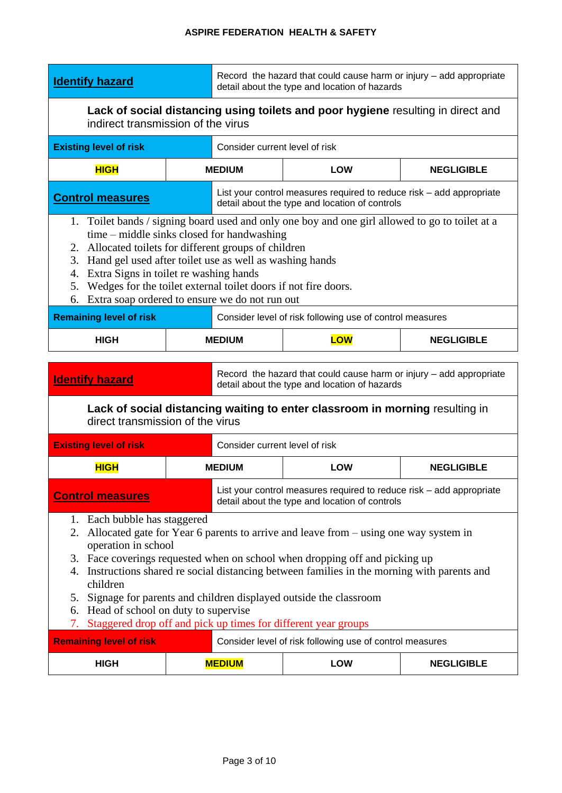| Lack of social distancing using toilets and poor hygiene resulting in direct and<br>indirect transmission of the virus<br>Consider current level of risk<br><b>Existing level of risk</b><br><b>HIGH</b><br><b>MEDIUM</b><br><b>LOW</b><br><b>NEGLIGIBLE</b><br>List your control measures required to reduce risk – add appropriate<br><b>Control measures</b><br>detail about the type and location of controls<br>1. Toilet bands / signing board used and only one boy and one girl allowed to go to toilet at a<br>time – middle sinks closed for handwashing<br>2. Allocated toilets for different groups of children<br>3. Hand gel used after toilet use as well as washing hands<br>Extra Signs in toilet re washing hands<br>4.<br>Wedges for the toilet external toilet doors if not fire doors.<br>5.<br>Extra soap ordered to ensure we do not run out<br>6.<br><b>Remaining level of risk</b><br>Consider level of risk following use of control measures<br><b>LOW</b><br><b>HIGH</b><br><b>MEDIUM</b><br><b>NEGLIGIBLE</b><br>Record the hazard that could cause harm or injury - add appropriate<br><b>Identify hazard</b><br>detail about the type and location of hazards<br>Lack of social distancing waiting to enter classroom in morning resulting in<br>direct transmission of the virus<br>Consider current level of risk<br><b>Existing level of risk</b><br><b>HIGH</b><br><b>MEDIUM</b><br><b>LOW</b><br><b>NEGLIGIBLE</b><br>List your control measures required to reduce risk – add appropriate<br><b>Control measures</b><br>detail about the type and location of controls<br>1. Each bubble has staggered<br>Allocated gate for Year 6 parents to arrive and leave from – using one way system in<br>2.<br>operation in school<br>3. Face coverings requested when on school when dropping off and picking up<br>Instructions shared re social distancing between families in the morning with parents and<br>4.<br>children<br>Signage for parents and children displayed outside the classroom<br>5.<br>6. Head of school on duty to supervise<br>Staggered drop off and pick up times for different year groups<br>7.<br><b>Remaining level of risk</b><br>Consider level of risk following use of control measures | <b>Identify hazard</b> |  | Record the hazard that could cause harm or injury – add appropriate<br>detail about the type and location of hazards |  |  |  |  |  |
|----------------------------------------------------------------------------------------------------------------------------------------------------------------------------------------------------------------------------------------------------------------------------------------------------------------------------------------------------------------------------------------------------------------------------------------------------------------------------------------------------------------------------------------------------------------------------------------------------------------------------------------------------------------------------------------------------------------------------------------------------------------------------------------------------------------------------------------------------------------------------------------------------------------------------------------------------------------------------------------------------------------------------------------------------------------------------------------------------------------------------------------------------------------------------------------------------------------------------------------------------------------------------------------------------------------------------------------------------------------------------------------------------------------------------------------------------------------------------------------------------------------------------------------------------------------------------------------------------------------------------------------------------------------------------------------------------------------------------------------------------------------------------------------------------------------------------------------------------------------------------------------------------------------------------------------------------------------------------------------------------------------------------------------------------------------------------------------------------------------------------------------------------------------------------------------------------------------------------------------------------------|------------------------|--|----------------------------------------------------------------------------------------------------------------------|--|--|--|--|--|
|                                                                                                                                                                                                                                                                                                                                                                                                                                                                                                                                                                                                                                                                                                                                                                                                                                                                                                                                                                                                                                                                                                                                                                                                                                                                                                                                                                                                                                                                                                                                                                                                                                                                                                                                                                                                                                                                                                                                                                                                                                                                                                                                                                                                                                                          |                        |  |                                                                                                                      |  |  |  |  |  |
|                                                                                                                                                                                                                                                                                                                                                                                                                                                                                                                                                                                                                                                                                                                                                                                                                                                                                                                                                                                                                                                                                                                                                                                                                                                                                                                                                                                                                                                                                                                                                                                                                                                                                                                                                                                                                                                                                                                                                                                                                                                                                                                                                                                                                                                          |                        |  |                                                                                                                      |  |  |  |  |  |
|                                                                                                                                                                                                                                                                                                                                                                                                                                                                                                                                                                                                                                                                                                                                                                                                                                                                                                                                                                                                                                                                                                                                                                                                                                                                                                                                                                                                                                                                                                                                                                                                                                                                                                                                                                                                                                                                                                                                                                                                                                                                                                                                                                                                                                                          |                        |  |                                                                                                                      |  |  |  |  |  |
|                                                                                                                                                                                                                                                                                                                                                                                                                                                                                                                                                                                                                                                                                                                                                                                                                                                                                                                                                                                                                                                                                                                                                                                                                                                                                                                                                                                                                                                                                                                                                                                                                                                                                                                                                                                                                                                                                                                                                                                                                                                                                                                                                                                                                                                          |                        |  |                                                                                                                      |  |  |  |  |  |
|                                                                                                                                                                                                                                                                                                                                                                                                                                                                                                                                                                                                                                                                                                                                                                                                                                                                                                                                                                                                                                                                                                                                                                                                                                                                                                                                                                                                                                                                                                                                                                                                                                                                                                                                                                                                                                                                                                                                                                                                                                                                                                                                                                                                                                                          |                        |  |                                                                                                                      |  |  |  |  |  |
|                                                                                                                                                                                                                                                                                                                                                                                                                                                                                                                                                                                                                                                                                                                                                                                                                                                                                                                                                                                                                                                                                                                                                                                                                                                                                                                                                                                                                                                                                                                                                                                                                                                                                                                                                                                                                                                                                                                                                                                                                                                                                                                                                                                                                                                          |                        |  |                                                                                                                      |  |  |  |  |  |
|                                                                                                                                                                                                                                                                                                                                                                                                                                                                                                                                                                                                                                                                                                                                                                                                                                                                                                                                                                                                                                                                                                                                                                                                                                                                                                                                                                                                                                                                                                                                                                                                                                                                                                                                                                                                                                                                                                                                                                                                                                                                                                                                                                                                                                                          |                        |  |                                                                                                                      |  |  |  |  |  |
|                                                                                                                                                                                                                                                                                                                                                                                                                                                                                                                                                                                                                                                                                                                                                                                                                                                                                                                                                                                                                                                                                                                                                                                                                                                                                                                                                                                                                                                                                                                                                                                                                                                                                                                                                                                                                                                                                                                                                                                                                                                                                                                                                                                                                                                          |                        |  |                                                                                                                      |  |  |  |  |  |
|                                                                                                                                                                                                                                                                                                                                                                                                                                                                                                                                                                                                                                                                                                                                                                                                                                                                                                                                                                                                                                                                                                                                                                                                                                                                                                                                                                                                                                                                                                                                                                                                                                                                                                                                                                                                                                                                                                                                                                                                                                                                                                                                                                                                                                                          |                        |  |                                                                                                                      |  |  |  |  |  |
|                                                                                                                                                                                                                                                                                                                                                                                                                                                                                                                                                                                                                                                                                                                                                                                                                                                                                                                                                                                                                                                                                                                                                                                                                                                                                                                                                                                                                                                                                                                                                                                                                                                                                                                                                                                                                                                                                                                                                                                                                                                                                                                                                                                                                                                          |                        |  |                                                                                                                      |  |  |  |  |  |
|                                                                                                                                                                                                                                                                                                                                                                                                                                                                                                                                                                                                                                                                                                                                                                                                                                                                                                                                                                                                                                                                                                                                                                                                                                                                                                                                                                                                                                                                                                                                                                                                                                                                                                                                                                                                                                                                                                                                                                                                                                                                                                                                                                                                                                                          |                        |  |                                                                                                                      |  |  |  |  |  |
|                                                                                                                                                                                                                                                                                                                                                                                                                                                                                                                                                                                                                                                                                                                                                                                                                                                                                                                                                                                                                                                                                                                                                                                                                                                                                                                                                                                                                                                                                                                                                                                                                                                                                                                                                                                                                                                                                                                                                                                                                                                                                                                                                                                                                                                          |                        |  |                                                                                                                      |  |  |  |  |  |
| <b>HIGH</b><br><b>LOW</b><br><b>MEDIUM</b><br><b>NEGLIGIBLE</b>                                                                                                                                                                                                                                                                                                                                                                                                                                                                                                                                                                                                                                                                                                                                                                                                                                                                                                                                                                                                                                                                                                                                                                                                                                                                                                                                                                                                                                                                                                                                                                                                                                                                                                                                                                                                                                                                                                                                                                                                                                                                                                                                                                                          |                        |  |                                                                                                                      |  |  |  |  |  |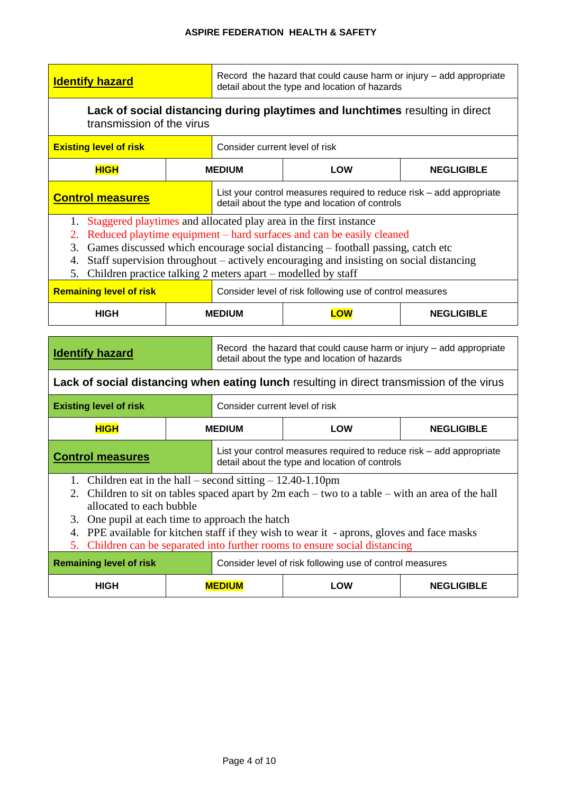| <b>Identify hazard</b>                                                                                                                                      |                                                                                                                                                                                                                                                                                                                                                                                        | Record the hazard that could cause harm or injury – add appropriate<br>detail about the type and location of hazards |                                                                                                                                                                                                                                                                           |                   |  |  |  |
|-------------------------------------------------------------------------------------------------------------------------------------------------------------|----------------------------------------------------------------------------------------------------------------------------------------------------------------------------------------------------------------------------------------------------------------------------------------------------------------------------------------------------------------------------------------|----------------------------------------------------------------------------------------------------------------------|---------------------------------------------------------------------------------------------------------------------------------------------------------------------------------------------------------------------------------------------------------------------------|-------------------|--|--|--|
| Lack of social distancing during playtimes and lunchtimes resulting in direct<br>transmission of the virus                                                  |                                                                                                                                                                                                                                                                                                                                                                                        |                                                                                                                      |                                                                                                                                                                                                                                                                           |                   |  |  |  |
| <b>Existing level of risk</b>                                                                                                                               |                                                                                                                                                                                                                                                                                                                                                                                        | Consider current level of risk                                                                                       |                                                                                                                                                                                                                                                                           |                   |  |  |  |
| <b>HIGH</b>                                                                                                                                                 |                                                                                                                                                                                                                                                                                                                                                                                        | <b>MEDIUM</b>                                                                                                        | <b>LOW</b><br><b>NEGLIGIBLE</b>                                                                                                                                                                                                                                           |                   |  |  |  |
| <b>Control measures</b>                                                                                                                                     |                                                                                                                                                                                                                                                                                                                                                                                        |                                                                                                                      | List your control measures required to reduce risk - add appropriate<br>detail about the type and location of controls                                                                                                                                                    |                   |  |  |  |
| 1.<br>2.<br>3.<br>4.<br>5.                                                                                                                                  | Staggered playtimes and allocated play area in the first instance<br>Reduced playtime equipment – hard surfaces and can be easily cleaned<br>Games discussed which encourage social distancing – football passing, catch etc<br>Staff supervision throughout - actively encouraging and insisting on social distancing<br>Children practice talking 2 meters apart – modelled by staff |                                                                                                                      |                                                                                                                                                                                                                                                                           |                   |  |  |  |
| <b>Remaining level of risk</b>                                                                                                                              |                                                                                                                                                                                                                                                                                                                                                                                        |                                                                                                                      | Consider level of risk following use of control measures                                                                                                                                                                                                                  |                   |  |  |  |
| <b>HIGH</b>                                                                                                                                                 |                                                                                                                                                                                                                                                                                                                                                                                        | <b>MEDIUM</b>                                                                                                        | <b>LOW</b>                                                                                                                                                                                                                                                                | <b>NEGLIGIBLE</b> |  |  |  |
| Record the hazard that could cause harm or injury - add appropriate<br><b>Identify hazard</b><br>detail about the type and location of hazards              |                                                                                                                                                                                                                                                                                                                                                                                        |                                                                                                                      |                                                                                                                                                                                                                                                                           |                   |  |  |  |
|                                                                                                                                                             |                                                                                                                                                                                                                                                                                                                                                                                        |                                                                                                                      |                                                                                                                                                                                                                                                                           |                   |  |  |  |
|                                                                                                                                                             |                                                                                                                                                                                                                                                                                                                                                                                        |                                                                                                                      | Lack of social distancing when eating lunch resulting in direct transmission of the virus                                                                                                                                                                                 |                   |  |  |  |
| <b>Existing level of risk</b>                                                                                                                               |                                                                                                                                                                                                                                                                                                                                                                                        | Consider current level of risk                                                                                       |                                                                                                                                                                                                                                                                           |                   |  |  |  |
| <b>HIGH</b>                                                                                                                                                 |                                                                                                                                                                                                                                                                                                                                                                                        | <b>MEDIUM</b>                                                                                                        | <b>LOW</b>                                                                                                                                                                                                                                                                | <b>NEGLIGIBLE</b> |  |  |  |
| <b>Control measures</b>                                                                                                                                     |                                                                                                                                                                                                                                                                                                                                                                                        |                                                                                                                      | List your control measures required to reduce risk – add appropriate<br>detail about the type and location of controls                                                                                                                                                    |                   |  |  |  |
| 1. Children eat in the hall – second sitting $-12.40-1.10$ pm<br>allocated to each bubble<br>One pupil at each time to approach the hatch<br>3.<br>4.<br>5. |                                                                                                                                                                                                                                                                                                                                                                                        |                                                                                                                      | 2. Children to sit on tables spaced apart by $2m$ each – two to a table – with an area of the hall<br>PPE available for kitchen staff if they wish to wear it - aprons, gloves and face masks<br>Children can be separated into further rooms to ensure social distancing |                   |  |  |  |
| <b>Remaining level of risk</b>                                                                                                                              |                                                                                                                                                                                                                                                                                                                                                                                        |                                                                                                                      | Consider level of risk following use of control measures                                                                                                                                                                                                                  |                   |  |  |  |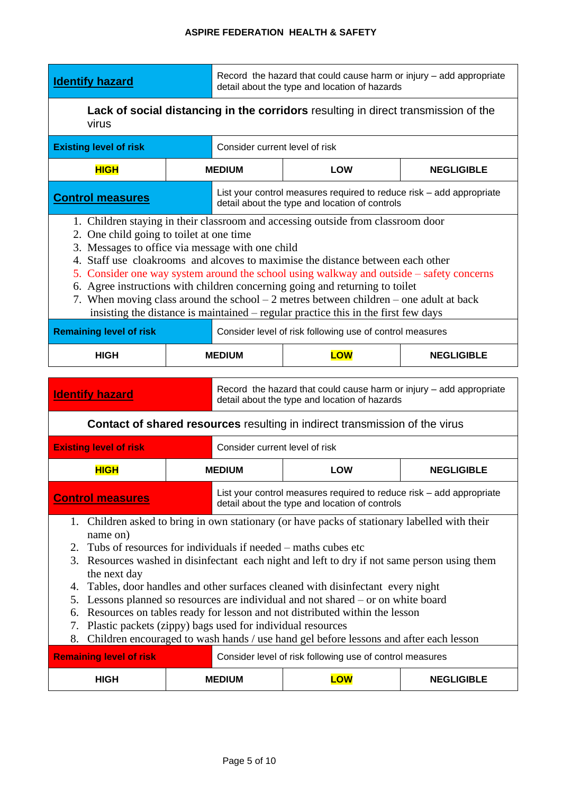| <b>Identify hazard</b>                                                                             | Record the hazard that could cause harm or injury – add appropriate<br>detail about the type and location of hazards |  |  |  |  |
|----------------------------------------------------------------------------------------------------|----------------------------------------------------------------------------------------------------------------------|--|--|--|--|
| <b>Lack of social distancing in the corridors</b> resulting in direct transmission of the<br>virus |                                                                                                                      |  |  |  |  |

| virus                                                                                                                                                                                                                                                                                                                                                                                                                                                                                                                                                                                                                              |  |                                                                                                                        |                                                                                                                        |                   |  |  |
|------------------------------------------------------------------------------------------------------------------------------------------------------------------------------------------------------------------------------------------------------------------------------------------------------------------------------------------------------------------------------------------------------------------------------------------------------------------------------------------------------------------------------------------------------------------------------------------------------------------------------------|--|------------------------------------------------------------------------------------------------------------------------|------------------------------------------------------------------------------------------------------------------------|-------------------|--|--|
| <b>Existing level of risk</b>                                                                                                                                                                                                                                                                                                                                                                                                                                                                                                                                                                                                      |  | Consider current level of risk                                                                                         |                                                                                                                        |                   |  |  |
| <b>HIGH</b>                                                                                                                                                                                                                                                                                                                                                                                                                                                                                                                                                                                                                        |  | <b>MEDIUM</b><br><b>LOW</b><br><b>NEGLIGIBLE</b>                                                                       |                                                                                                                        |                   |  |  |
| <b>Control measures</b>                                                                                                                                                                                                                                                                                                                                                                                                                                                                                                                                                                                                            |  |                                                                                                                        | List your control measures required to reduce risk – add appropriate<br>detail about the type and location of controls |                   |  |  |
| 1. Children staying in their classroom and accessing outside from classroom door<br>2. One child going to toilet at one time<br>3. Messages to office via message with one child<br>4. Staff use cloakrooms and alcoves to maximise the distance between each other<br>5. Consider one way system around the school using walkway and outside – safety concerns<br>6. Agree instructions with children concerning going and returning to toilet<br>7. When moving class around the school $-2$ metres between children $-$ one adult at back<br>insisting the distance is maintained – regular practice this in the first few days |  |                                                                                                                        |                                                                                                                        |                   |  |  |
| <b>Remaining level of risk</b>                                                                                                                                                                                                                                                                                                                                                                                                                                                                                                                                                                                                     |  |                                                                                                                        | Consider level of risk following use of control measures                                                               |                   |  |  |
| <b>HIGH</b>                                                                                                                                                                                                                                                                                                                                                                                                                                                                                                                                                                                                                        |  | <b>MEDIUM</b>                                                                                                          | <b>LOW</b>                                                                                                             | <b>NEGLIGIBLE</b> |  |  |
| <b>Identify hazard</b>                                                                                                                                                                                                                                                                                                                                                                                                                                                                                                                                                                                                             |  |                                                                                                                        | Record the hazard that could cause harm or injury - add appropriate<br>detail about the type and location of hazards   |                   |  |  |
|                                                                                                                                                                                                                                                                                                                                                                                                                                                                                                                                                                                                                                    |  |                                                                                                                        | <b>Contact of shared resources resulting in indirect transmission of the virus</b>                                     |                   |  |  |
| <b>Existing level of risk</b>                                                                                                                                                                                                                                                                                                                                                                                                                                                                                                                                                                                                      |  | Consider current level of risk                                                                                         |                                                                                                                        |                   |  |  |
| <b>HIGH</b>                                                                                                                                                                                                                                                                                                                                                                                                                                                                                                                                                                                                                        |  | <b>MEDIUM</b>                                                                                                          | <b>LOW</b>                                                                                                             | <b>NEGLIGIBLE</b> |  |  |
| <b>Control measures</b>                                                                                                                                                                                                                                                                                                                                                                                                                                                                                                                                                                                                            |  | List your control measures required to reduce risk – add appropriate<br>detail about the type and location of controls |                                                                                                                        |                   |  |  |
| 1. Children asked to bring in own stationary (or have packs of stationary labelled with their<br>name on)                                                                                                                                                                                                                                                                                                                                                                                                                                                                                                                          |  |                                                                                                                        |                                                                                                                        |                   |  |  |

- 2. Tubs of resources for individuals if needed maths cubes etc
- 3. Resources washed in disinfectant each night and left to dry if not same person using them the next day
- 4. Tables, door handles and other surfaces cleaned with disinfectant every night
- 5. Lessons planned so resources are individual and not shared or on white board
- 6. Resources on tables ready for lesson and not distributed within the lesson
- 7. Plastic packets (zippy) bags used for individual resources
- 8. Children encouraged to wash hands / use hand gel before lessons and after each lesson

| <b>Remaining level of risk</b> |               |  | Consider level of risk following use of control measures |                   |
|--------------------------------|---------------|--|----------------------------------------------------------|-------------------|
| <b>HIGH</b>                    | <b>MEDIUM</b> |  | LOW                                                      | <b>NEGLIGIBLE</b> |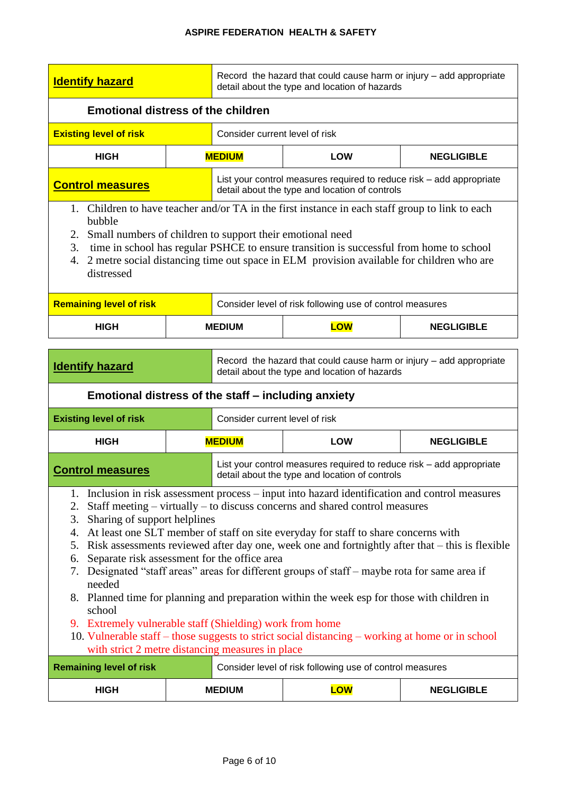| <b>Identify hazard</b>                                                                                                                                                                                                                                                                                                                                                                                                                                                                                                                                                                                                                                                                                                                                                                                                                                                                                                                                                             |  | Record the hazard that could cause harm or injury - add appropriate<br>detail about the type and location of hazards |                                                                                                                        |                   |  |  |  |
|------------------------------------------------------------------------------------------------------------------------------------------------------------------------------------------------------------------------------------------------------------------------------------------------------------------------------------------------------------------------------------------------------------------------------------------------------------------------------------------------------------------------------------------------------------------------------------------------------------------------------------------------------------------------------------------------------------------------------------------------------------------------------------------------------------------------------------------------------------------------------------------------------------------------------------------------------------------------------------|--|----------------------------------------------------------------------------------------------------------------------|------------------------------------------------------------------------------------------------------------------------|-------------------|--|--|--|
| <b>Emotional distress of the children</b>                                                                                                                                                                                                                                                                                                                                                                                                                                                                                                                                                                                                                                                                                                                                                                                                                                                                                                                                          |  |                                                                                                                      |                                                                                                                        |                   |  |  |  |
| <b>Existing level of risk</b>                                                                                                                                                                                                                                                                                                                                                                                                                                                                                                                                                                                                                                                                                                                                                                                                                                                                                                                                                      |  | Consider current level of risk                                                                                       |                                                                                                                        |                   |  |  |  |
| <b>HIGH</b>                                                                                                                                                                                                                                                                                                                                                                                                                                                                                                                                                                                                                                                                                                                                                                                                                                                                                                                                                                        |  | <b>MEDIUM</b>                                                                                                        | <b>LOW</b>                                                                                                             | <b>NEGLIGIBLE</b> |  |  |  |
| <b>Control measures</b>                                                                                                                                                                                                                                                                                                                                                                                                                                                                                                                                                                                                                                                                                                                                                                                                                                                                                                                                                            |  |                                                                                                                      | List your control measures required to reduce risk – add appropriate<br>detail about the type and location of controls |                   |  |  |  |
| 1. Children to have teacher and/or TA in the first instance in each staff group to link to each<br>bubble<br>Small numbers of children to support their emotional need<br>2.<br>time in school has regular PSHCE to ensure transition is successful from home to school<br>3.<br>2 metre social distancing time out space in ELM provision available for children who are<br>4.<br>distressed                                                                                                                                                                                                                                                                                                                                                                                                                                                                                                                                                                                      |  |                                                                                                                      |                                                                                                                        |                   |  |  |  |
| <b>Remaining level of risk</b>                                                                                                                                                                                                                                                                                                                                                                                                                                                                                                                                                                                                                                                                                                                                                                                                                                                                                                                                                     |  |                                                                                                                      | Consider level of risk following use of control measures                                                               |                   |  |  |  |
| <b>HIGH</b>                                                                                                                                                                                                                                                                                                                                                                                                                                                                                                                                                                                                                                                                                                                                                                                                                                                                                                                                                                        |  | <b>MEDIUM</b>                                                                                                        | <b>LOW</b>                                                                                                             | <b>NEGLIGIBLE</b> |  |  |  |
| <b>Identify hazard</b><br>Emotional distress of the staff – including anxiety                                                                                                                                                                                                                                                                                                                                                                                                                                                                                                                                                                                                                                                                                                                                                                                                                                                                                                      |  |                                                                                                                      | Record the hazard that could cause harm or injury - add appropriate<br>detail about the type and location of hazards   |                   |  |  |  |
| <b>Existing level of risk</b>                                                                                                                                                                                                                                                                                                                                                                                                                                                                                                                                                                                                                                                                                                                                                                                                                                                                                                                                                      |  | Consider current level of risk                                                                                       |                                                                                                                        |                   |  |  |  |
| <b>HIGH</b>                                                                                                                                                                                                                                                                                                                                                                                                                                                                                                                                                                                                                                                                                                                                                                                                                                                                                                                                                                        |  | <b>MEDIUM</b>                                                                                                        | <b>LOW</b>                                                                                                             | <b>NEGLIGIBLE</b> |  |  |  |
| <b>Control measures</b>                                                                                                                                                                                                                                                                                                                                                                                                                                                                                                                                                                                                                                                                                                                                                                                                                                                                                                                                                            |  |                                                                                                                      | List your control measures required to reduce risk – add appropriate                                                   |                   |  |  |  |
| detail about the type and location of controls<br>1. Inclusion in risk assessment process – input into hazard identification and control measures<br>Staff meeting – virtually – to discuss concerns and shared control measures<br>2.<br>Sharing of support helplines<br>3.<br>At least one SLT member of staff on site everyday for staff to share concerns with<br>4.<br>Risk assessments reviewed after day one, week one and fortnightly after that – this is flexible<br>5.<br>Separate risk assessment for the office area<br>6.<br>Designated "staff areas" areas for different groups of staff - maybe rota for same area if<br>7.<br>needed<br>8. Planned time for planning and preparation within the week esp for those with children in<br>school<br>9. Extremely vulnerable staff (Shielding) work from home<br>10. Vulnerable staff - those suggests to strict social distancing - working at home or in school<br>with strict 2 metre distancing measures in place |  |                                                                                                                      |                                                                                                                        |                   |  |  |  |

| <b>Remaining level of risk</b> |               |  | Consider level of risk following use of control measures |                   |
|--------------------------------|---------------|--|----------------------------------------------------------|-------------------|
| HIGH                           | <b>MEDIUM</b> |  | LOW                                                      | <b>NEGLIGIBLE</b> |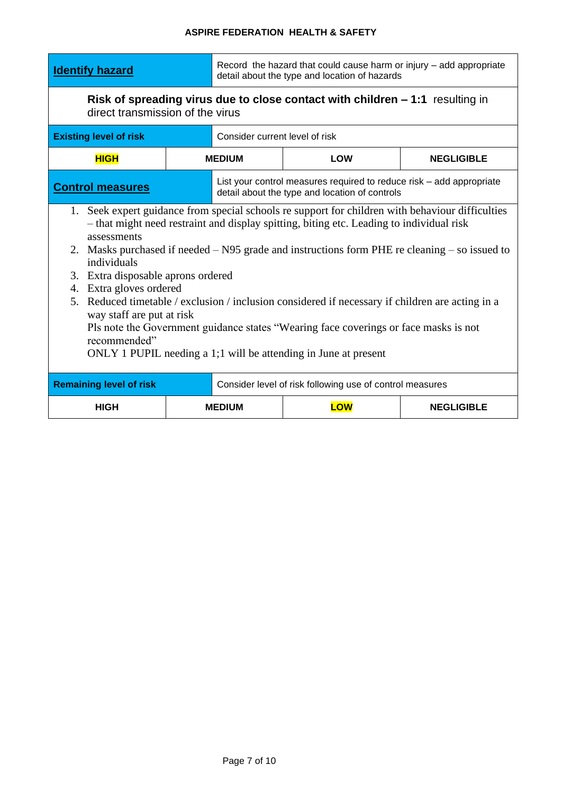| <b>Identify hazard</b>                                                                                                                                                                                                                                                                                                                                                                                                                                                                                                                                                                                                                                                                                      |  | Record the hazard that could cause harm or injury - add appropriate<br>detail about the type and location of hazards |                                                                                                                        |                   |  |  |  |
|-------------------------------------------------------------------------------------------------------------------------------------------------------------------------------------------------------------------------------------------------------------------------------------------------------------------------------------------------------------------------------------------------------------------------------------------------------------------------------------------------------------------------------------------------------------------------------------------------------------------------------------------------------------------------------------------------------------|--|----------------------------------------------------------------------------------------------------------------------|------------------------------------------------------------------------------------------------------------------------|-------------------|--|--|--|
| direct transmission of the virus                                                                                                                                                                                                                                                                                                                                                                                                                                                                                                                                                                                                                                                                            |  | Risk of spreading virus due to close contact with children - 1:1 resulting in                                        |                                                                                                                        |                   |  |  |  |
| <b>Existing level of risk</b>                                                                                                                                                                                                                                                                                                                                                                                                                                                                                                                                                                                                                                                                               |  | Consider current level of risk                                                                                       |                                                                                                                        |                   |  |  |  |
| <b>HIGH</b>                                                                                                                                                                                                                                                                                                                                                                                                                                                                                                                                                                                                                                                                                                 |  | <b>MEDIUM</b>                                                                                                        | <b>LOW</b>                                                                                                             | <b>NEGLIGIBLE</b> |  |  |  |
| <b>Control measures</b>                                                                                                                                                                                                                                                                                                                                                                                                                                                                                                                                                                                                                                                                                     |  |                                                                                                                      | List your control measures required to reduce risk - add appropriate<br>detail about the type and location of controls |                   |  |  |  |
| 1. Seek expert guidance from special schools re support for children with behaviour difficulties<br>- that might need restraint and display spitting, biting etc. Leading to individual risk<br>assessments<br>2. Masks purchased if needed – N95 grade and instructions form PHE re cleaning – so issued to<br>individuals<br>3. Extra disposable aprons ordered<br>Extra gloves ordered<br>4.<br>5. Reduced timetable / exclusion / inclusion considered if necessary if children are acting in a<br>way staff are put at risk<br>Pls note the Government guidance states "Wearing face coverings or face masks is not<br>recommended"<br>ONLY 1 PUPIL needing a 1;1 will be attending in June at present |  |                                                                                                                      |                                                                                                                        |                   |  |  |  |
| <b>Remaining level of risk</b>                                                                                                                                                                                                                                                                                                                                                                                                                                                                                                                                                                                                                                                                              |  |                                                                                                                      | Consider level of risk following use of control measures                                                               |                   |  |  |  |
| <b>HIGH</b>                                                                                                                                                                                                                                                                                                                                                                                                                                                                                                                                                                                                                                                                                                 |  | <b>MEDIUM</b>                                                                                                        | <b>LOW</b>                                                                                                             | <b>NEGLIGIBLE</b> |  |  |  |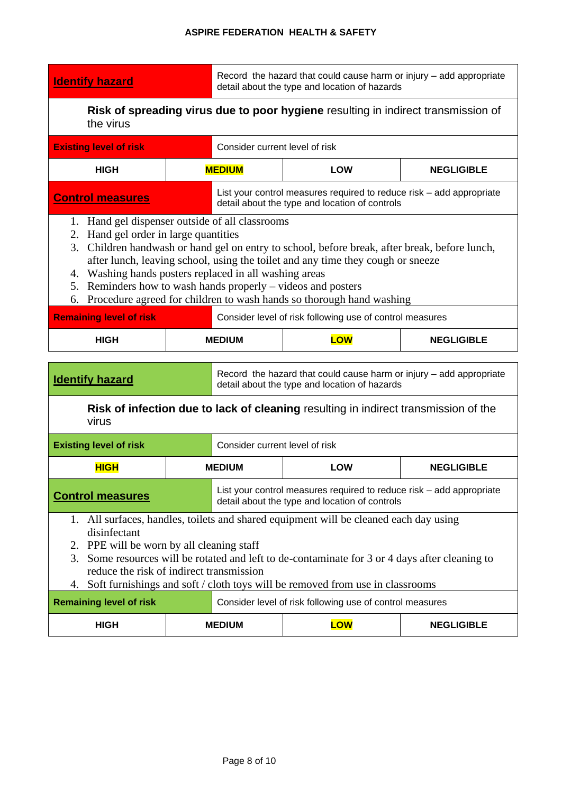**Identify hazard** Record the hazard that could cause harm or injury – add appropriate detail about the type and location of hazards

**Risk of spreading virus due to poor hygiene** resulting in indirect transmission of the virus

| <b>Existing level of risk</b>                                    | Consider current level of risk                                                                                                                                                                                                                                                                                                                                                                                               |  |  |  |  |  |
|------------------------------------------------------------------|------------------------------------------------------------------------------------------------------------------------------------------------------------------------------------------------------------------------------------------------------------------------------------------------------------------------------------------------------------------------------------------------------------------------------|--|--|--|--|--|
| <b>HIGH</b>                                                      | <b>MEDIUM</b><br><b>LOW</b><br><b>NEGLIGIBLE</b>                                                                                                                                                                                                                                                                                                                                                                             |  |  |  |  |  |
| <b>Control measures</b>                                          | List your control measures required to reduce risk – add appropriate<br>detail about the type and location of controls                                                                                                                                                                                                                                                                                                       |  |  |  |  |  |
| Hand gel order in large quantities<br>2.<br>3.<br>4.<br>5.<br>6. | 1. Hand gel dispenser outside of all classrooms<br>Children handwash or hand gel on entry to school, before break, after break, before lunch,<br>after lunch, leaving school, using the toilet and any time they cough or sneeze<br>Washing hands posters replaced in all washing areas<br>Reminders how to wash hands properly – videos and posters<br>Procedure agreed for children to wash hands so thorough hand washing |  |  |  |  |  |
| <b>Remaining level of risk</b>                                   | Consider level of risk following use of control measures                                                                                                                                                                                                                                                                                                                                                                     |  |  |  |  |  |
| <b>HIGH</b>                                                      | <b>LOW</b><br><b>MEDIUM</b><br><b>NEGLIGIBLE</b>                                                                                                                                                                                                                                                                                                                                                                             |  |  |  |  |  |
| <b>Identify hazard</b>                                           | Record the hazard that could cause harm or injury – add appropriate<br>detail about the type and location of hazards                                                                                                                                                                                                                                                                                                         |  |  |  |  |  |

### **Risk of infection due to lack of cleaning** resulting in indirect transmission of the virus

| <b>Existing level of risk</b>                                                                                                                                                                                                                                                                                                                                                           |  |                                                                                                                        | Consider current level of risk                           |  |  |
|-----------------------------------------------------------------------------------------------------------------------------------------------------------------------------------------------------------------------------------------------------------------------------------------------------------------------------------------------------------------------------------------|--|------------------------------------------------------------------------------------------------------------------------|----------------------------------------------------------|--|--|
| <b>HIGH</b>                                                                                                                                                                                                                                                                                                                                                                             |  | <b>LOW</b><br><b>NEGLIGIBLE</b><br><b>MEDIUM</b>                                                                       |                                                          |  |  |
| <b>Control measures</b>                                                                                                                                                                                                                                                                                                                                                                 |  | List your control measures required to reduce risk - add appropriate<br>detail about the type and location of controls |                                                          |  |  |
| 1. All surfaces, handles, toilets and shared equipment will be cleaned each day using<br>disinfectant<br>2. PPE will be worn by all cleaning staff<br>3. Some resources will be rotated and left to de-contaminate for 3 or 4 days after cleaning to<br>reduce the risk of indirect transmission<br>Soft furnishings and soft / cloth toys will be removed from use in classrooms<br>4. |  |                                                                                                                        |                                                          |  |  |
| <b>Remaining level of risk</b>                                                                                                                                                                                                                                                                                                                                                          |  |                                                                                                                        | Consider level of risk following use of control measures |  |  |

**HIGH MEDIUM LOW NEGLIGIBLE**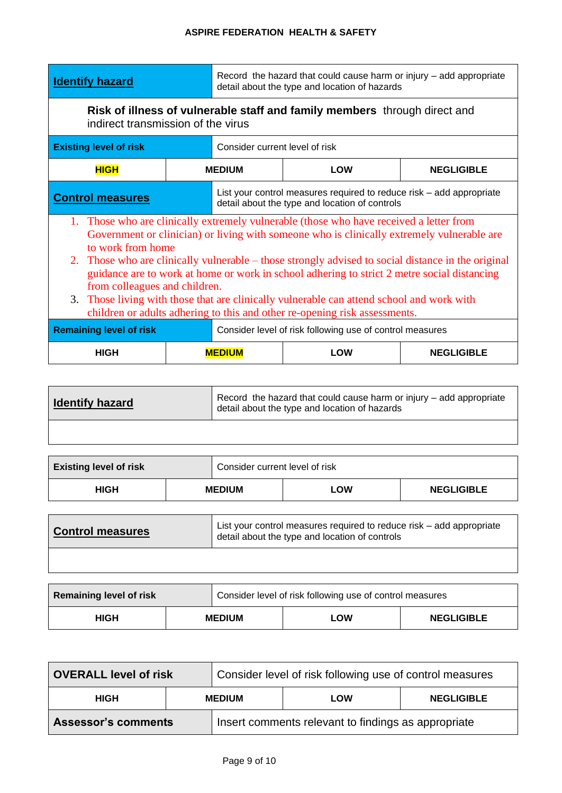| <b>Identify hazard</b>                                                                                                                                                                                                                                                                                                                                                                                                                                                                                                                                                                                                                                                                                                    |                                                                                                                 | Record the hazard that could cause harm or injury - add appropriate<br>detail about the type and location of hazards |                   |  |  |
|---------------------------------------------------------------------------------------------------------------------------------------------------------------------------------------------------------------------------------------------------------------------------------------------------------------------------------------------------------------------------------------------------------------------------------------------------------------------------------------------------------------------------------------------------------------------------------------------------------------------------------------------------------------------------------------------------------------------------|-----------------------------------------------------------------------------------------------------------------|----------------------------------------------------------------------------------------------------------------------|-------------------|--|--|
|                                                                                                                                                                                                                                                                                                                                                                                                                                                                                                                                                                                                                                                                                                                           | Risk of illness of vulnerable staff and family members through direct and<br>indirect transmission of the virus |                                                                                                                      |                   |  |  |
| <b>Existing level of risk</b>                                                                                                                                                                                                                                                                                                                                                                                                                                                                                                                                                                                                                                                                                             | Consider current level of risk                                                                                  |                                                                                                                      |                   |  |  |
| <b>HIGH</b>                                                                                                                                                                                                                                                                                                                                                                                                                                                                                                                                                                                                                                                                                                               | <b>MEDIUM</b>                                                                                                   | LOW<br><b>NEGLIGIBLE</b>                                                                                             |                   |  |  |
| List your control measures required to reduce risk – add appropriate<br><b>Control measures</b><br>detail about the type and location of controls                                                                                                                                                                                                                                                                                                                                                                                                                                                                                                                                                                         |                                                                                                                 |                                                                                                                      |                   |  |  |
| 1. Those who are clinically extremely vulnerable (those who have received a letter from<br>Government or clinician) or living with someone who is clinically extremely vulnerable are<br>to work from home<br>2. Those who are clinically vulnerable – those strongly advised to social distance in the original<br>guidance are to work at home or work in school adhering to strict 2 metre social distancing<br>from colleagues and children.<br>3. Those living with those that are clinically vulnerable can attend school and work with<br>children or adults adhering to this and other re-opening risk assessments.<br><b>Remaining level of risk</b><br>Consider level of risk following use of control measures |                                                                                                                 |                                                                                                                      |                   |  |  |
| <b>HIGH</b>                                                                                                                                                                                                                                                                                                                                                                                                                                                                                                                                                                                                                                                                                                               | <b>MEDIUM</b>                                                                                                   | LOW                                                                                                                  | <b>NEGLIGIBLE</b> |  |  |

| <b>Identify hazard</b> | Record the hazard that could cause harm or injury – add appropriate<br>detail about the type and location of hazards |
|------------------------|----------------------------------------------------------------------------------------------------------------------|
|                        |                                                                                                                      |

| <b>Existing level of risk</b> |               | Consider current level of risk |     |                   |
|-------------------------------|---------------|--------------------------------|-----|-------------------|
| <b>HIGH</b>                   | <b>MEDIUM</b> |                                | LOW | <b>NEGLIGIBLE</b> |
|                               |               |                                |     |                   |

| <b>Control measures</b> | List your control measures required to reduce risk – add appropriate<br>detail about the type and location of controls |
|-------------------------|------------------------------------------------------------------------------------------------------------------------|
|                         |                                                                                                                        |

| <b>Remaining level of risk</b> |               | Consider level of risk following use of control measures |            |                   |
|--------------------------------|---------------|----------------------------------------------------------|------------|-------------------|
| <b>HIGH</b>                    | <b>MEDIUM</b> |                                                          | <b>LOW</b> | <b>NEGLIGIBLE</b> |

| <b>OVERALL level of risk</b> |               | Consider level of risk following use of control measures |     |                   |
|------------------------------|---------------|----------------------------------------------------------|-----|-------------------|
| <b>HIGH</b>                  | <b>MEDIUM</b> |                                                          | LOW | <b>NEGLIGIBLE</b> |
| <b>Assessor's comments</b>   |               | Insert comments relevant to findings as appropriate      |     |                   |